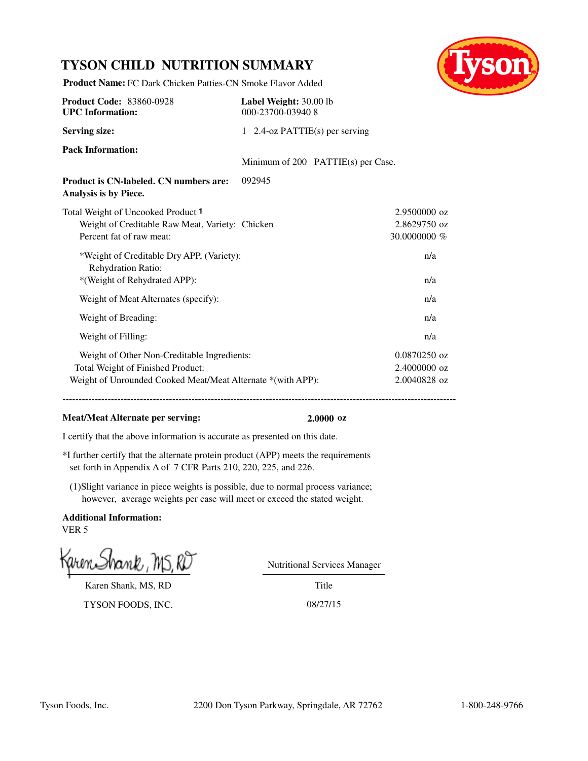## **TYSON CHILD NUTRITION SUMMARY**



**Product Name:** FC Dark Chicken Patties-CN Smoke Flavor Added

| <b>Product Code: 83860-0928</b><br><b>UPC</b> Information:                                                                                      | Label Weight: 30.00 lb<br>000-23700-03940 8 |                                    |                                                |
|-------------------------------------------------------------------------------------------------------------------------------------------------|---------------------------------------------|------------------------------------|------------------------------------------------|
| <b>Serving size:</b>                                                                                                                            | 1 2.4-oz PATTIE(s) per serving              |                                    |                                                |
| <b>Pack Information:</b>                                                                                                                        |                                             | Minimum of 200 PATTIE(s) per Case. |                                                |
| <b>Product is CN-labeled. CN numbers are:</b><br>Analysis is by Piece.                                                                          | 092945                                      |                                    |                                                |
| Total Weight of Uncooked Product 1<br>Weight of Creditable Raw Meat, Variety: Chicken<br>Percent fat of raw meat:                               |                                             |                                    | 2.9500000 oz<br>2.8629750 oz<br>30.0000000 %   |
| *Weight of Creditable Dry APP, (Variety):<br>Rehydration Ratio:<br>*(Weight of Rehydrated APP):                                                 |                                             |                                    | n/a<br>n/a                                     |
| Weight of Meat Alternates (specify):                                                                                                            |                                             |                                    | n/a                                            |
| Weight of Breading:                                                                                                                             |                                             |                                    | n/a                                            |
| Weight of Filling:                                                                                                                              |                                             |                                    | n/a                                            |
| Weight of Other Non-Creditable Ingredients:<br>Total Weight of Finished Product:<br>Weight of Unrounded Cooked Meat/Meat Alternate *(with APP): |                                             |                                    | $0.0870250$ oz<br>2.4000000 oz<br>2.0040828 oz |

#### **Meat/Meat Alternate per serving: 2.0000 oz**

**------------------------------------------------------------------------------------------------------------------------------------------**

I certify that the above information is accurate as presented on this date.

\*I further certify that the alternate protein product (APP) meets the requirements set forth in Appendix A of 7 CFR Parts 210, 220, 225, and 226.

(1)Slight variance in piece weights is possible, due to normal process variance; however, average weights per case will meet or exceed the stated weight.

**Additional Information:** VER 5

Karen Shank, MS, RD

TYSON FOODS, INC. 08/27/15

Nutritional Services Manager

Title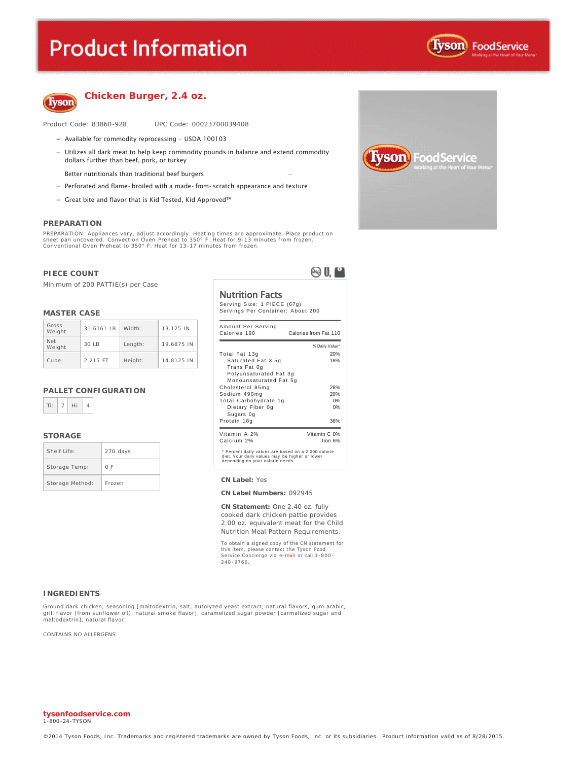# **Product Information**





#### **Chicken Burger, 2.4 oz.**

Product Code: 83860-928 UPC Code: 00023700039408

- Available for commodity reprocessing USDA 100103
- Utilizes all dark meat to help keep commodity pounds in balance and extend commodity dollars further than beef, pork, or turkey
	- Better nutritionals than traditional beef burgers
- Perforated and flame- broiled with a made- from- scratch appearance and texture
- $-$  Great bite and flavor that is Kid Tested, Kid Approved<sup>TM</sup>

#### **PREPARATION**

PREPARATION: Appliances vary, adjust accordingly. Heating times are approximate. Place product on sheet pan uncovered. Convection Oven Preheat to 350° F. Heat for 9-13 minutes from frozen. Conventional Oven Preheat to 350° F. Heat for 13-17 minutes from frozen.

#### **PIECE COUNT**

Minimum of 200 PATTIE(s) per Case

#### **MASTER CASE**

| Gross<br>Weight      | 31.6161 IB | Width:  | 13.125 IN  |
|----------------------|------------|---------|------------|
| <b>Net</b><br>Weight | $30$ IB    | Length: | 19.6875 IN |
| Cube:                | 2.215 FT   | Height: | 14.8125 IN |

#### **PALLET CONFIGURATION**



#### **STORAGE**

| Shelf Life:     | 270 days |
|-----------------|----------|
| Storage Temp:   | 0 F      |
| Storage Method: | Frozen   |

Nutrition Facts

 $\otimes 0$ 

 $\overline{\phantom{0}}$ 

Serving Size: 1 PIECE (67g) Servings Per Container: About 200

| Calories 190                                                 | Calories from Fat 110 |
|--------------------------------------------------------------|-----------------------|
|                                                              | % Daily Value*        |
| Total Fat 13g                                                | 20%                   |
| Saturated Fat 3.5g<br>Trans Fat 0g<br>Polyunsaturated Fat 3g | 18%                   |
| Monounsaturated Fat 5g                                       |                       |
| Cholesterol 85mg                                             | 28%                   |
| Sodium 490mg                                                 | 20%                   |
| Total Carbohydrate 1g                                        | 0%                    |
| Dietary Fiber 0g<br>Sugars Og                                | 0%                    |
| Protein 18g                                                  | 36%                   |
| Vitamin A 2%                                                 | Vitamin C 0%          |
| Calcium 2%                                                   | Iron $6%$             |

#### **CN Label: Yes**

#### **CN Label Numbers:** 092945

**CN Statement:** One 2.40 oz. fully cooked dark chicken pattie provides 2.00 oz. equivalent meat for the Child Nutrition Meal Pattern Requirements.

To obtain a signed copy of the CN statement for this item, please contact the Tyson Food Service Concierge via e-mail or call 1 -800 - 248 -9766.

#### **INGREDIENTS**

Ground dark chicken, seasoning [maltodextrin, salt, autolyzed yeast extract, natural flavors, gum arabic, grill flavor (from sunflower oil), natural smoke flavor], caramelized sugar powder [carmalized sugar and maltodextrin], natural flavor.

CONTAINS NO ALLERGENS



**tysonfoodservice.com** 1-800 -24-TYSON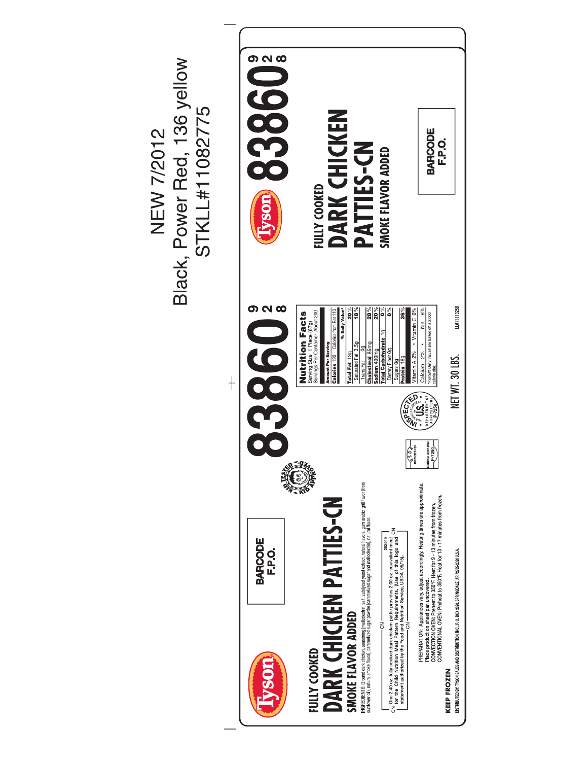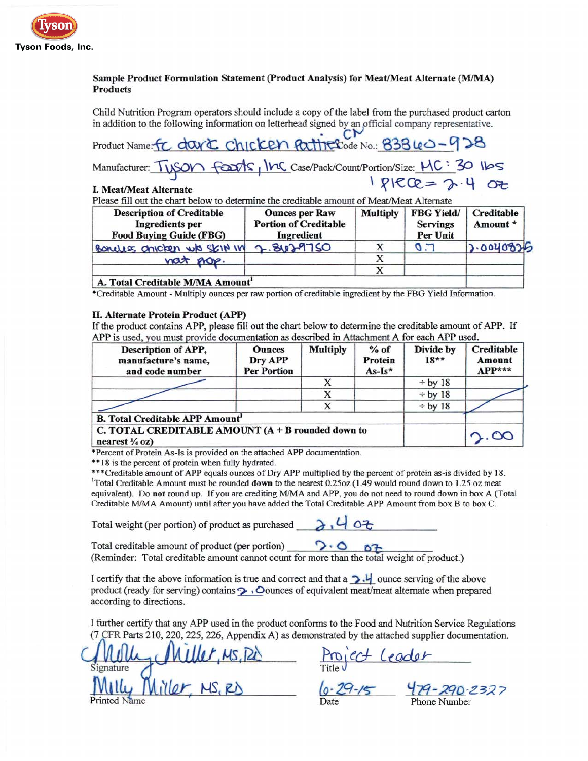

### Sample Product Formulation Statement (Product Analysis) for Meat/Meat Alternate (M/MA) **Products**

Child Nutrition Program operators should include a copy of the label from the purchased product carton in addition to the following information on letterhead signed by an official company representative.

Product Name: FC dark Chicken Pattle Code No.: 83840-928 Manufacturer: TUSON FOOTS, INC Case/Pack/Count/Portion/Size: MC: 30 Ibs

#### I. Meat/Meat Alternate

Please fill out the chart below to determine the creditable amount of Meat/Meat Alternate

| <b>Description of Creditable</b><br>Ingredients per<br><b>Food Buying Guide (FBG)</b> | <b>Ounces per Raw</b><br><b>Portion of Creditable</b><br>Ingredient | <b>Multiply</b> | <b>FBG Yield/</b><br><b>Servings</b><br>Per Unit | Creditable<br>Amount * |
|---------------------------------------------------------------------------------------|---------------------------------------------------------------------|-----------------|--------------------------------------------------|------------------------|
| Bondes onicken wis Skin in                                                            | 2.8629750                                                           |                 | $\sigma$ .                                       | 7.0040826              |
| nat nop.                                                                              |                                                                     |                 |                                                  |                        |
|                                                                                       |                                                                     |                 |                                                  |                        |
| A. Total Creditable M/MA Amount                                                       |                                                                     |                 |                                                  |                        |

\*Creditable Amount - Multiply ounces per raw portion of creditable ingredient by the FBG Yield Information.

#### II. Alternate Protein Product (APP)

If the product contains APP, please fill out the chart below to determine the creditable amount of APP. If APP is used, you must provide documentation as described in Attachment A for each APP used.

| Description of APP,<br>manufacture's name,<br>and code number                    | <b>Ounces</b><br>Dry APP<br><b>Per Portion</b> | <b>Multiply</b> | $%$ of<br>Protein<br>$As-Is*$ | Divide by<br>$18**$ | <b>Creditable</b><br>Amount<br>$APP***$ |
|----------------------------------------------------------------------------------|------------------------------------------------|-----------------|-------------------------------|---------------------|-----------------------------------------|
|                                                                                  |                                                | х               |                               | $\div$ by 18        |                                         |
|                                                                                  |                                                | х               |                               | $\div$ by 18        |                                         |
|                                                                                  |                                                | X               |                               | $\div$ by 18        |                                         |
| <b>B. Total Creditable APP Amount</b>                                            |                                                |                 |                               |                     |                                         |
| C. TOTAL CREDITABLE AMOUNT $(A + B$ rounded down to<br>nearest $\frac{1}{4}$ oz) |                                                |                 |                               |                     | $\infty$                                |

\*Percent of Protein As-Is is provided on the attached APP documentation.

\*\*18 is the percent of protein when fully hydrated.

\*\*\* Creditable amount of APP equals ounces of Dry APP multiplied by the percent of protein as-is divided by 18.  $^{1}$ Total Creditable Amount must be rounded down to the nearest 0.25oz (1.49 would round down to 1.25 oz meat equivalent). Do not round up. If you are crediting M/MA and APP, you do not need to round down in box A (Total Creditable M/MA Amount) until after you have added the Total Creditable APP Amount from box B to box C.

Total weight (per portion) of product as purchased

Total creditable amount of product (per portion)  $\overrightarrow{S} \cdot \overrightarrow{O}$  and weight of product.)<br>(Reminder: Total creditable amount cannot count for more than the total weight of product.) Total creditable amount of product (per portion)

I certify that the above information is true and correct and that a  $\rightarrow \frac{1}{2}$  ounce serving of the above product (ready for serving) contains  $\sim$  Ounces of equivalent meat/meat alternate when prepared according to directions.

I further certify that any APP used in the product conforms to the Food and Nutrition Service Regulations (7 CFR Parts 210, 220, 225, 226, Appendix A) as demonstrated by the attached supplier documentation.

Miller, Ms, Pd Project Leader<br>Miller, MS, RD 6.29-15 479-290-232 Signature